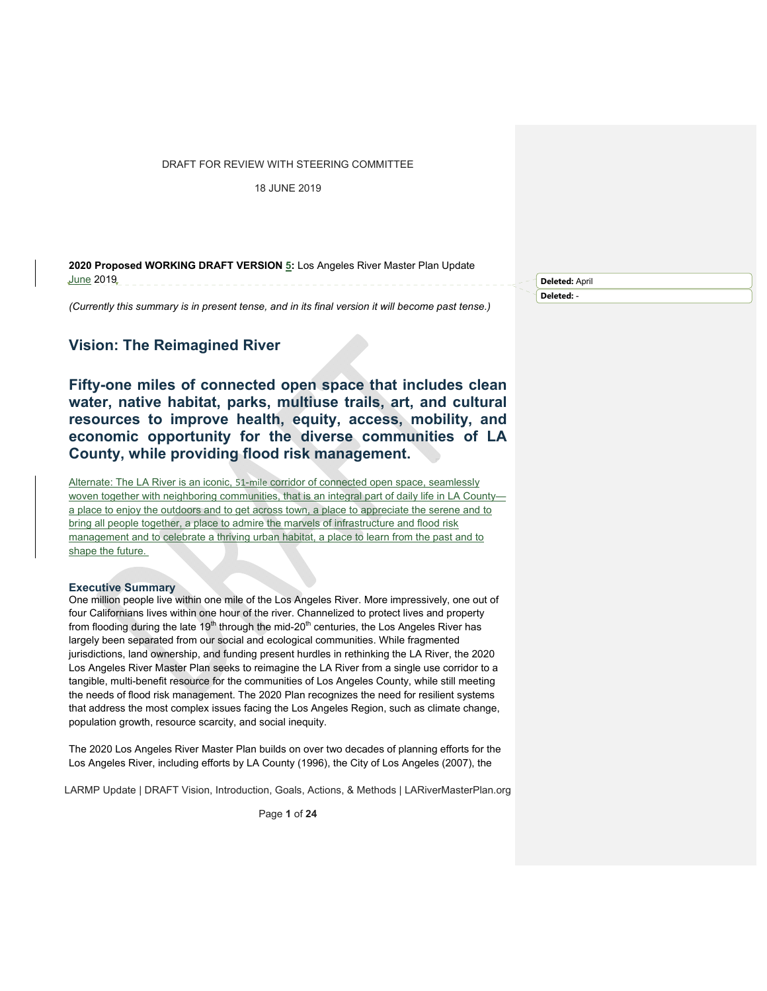18 JUNE 2019

**2020 Proposed WORKING DRAFT VERSION 5:** Los Angeles River Master Plan Update June 2019

*(Currently this summary is in present tense, and in its final version it will become past tense.)* 

# **Vision: The Reimagined River**

**Fifty-one miles of connected open space that includes clean water, native habitat, parks, multiuse trails, art, and cultural resources to improve health, equity, access, mobility, and economic opportunity for the diverse communities of LA County, while providing flood risk management.** 

Alternate: The LA River is an iconic, 51-mile corridor of connected open space, seamlessly woven together with neighboring communities, that is an integral part of daily life in LA Countya place to enjoy the outdoors and to get across town, a place to appreciate the serene and to bring all people together, a place to admire the marvels of infrastructure and flood risk management and to celebrate a thriving urban habitat, a place to learn from the past and to shape the future.

#### **Executive Summary**

One million people live within one mile of the Los Angeles River. More impressively, one out of four Californians lives within one hour of the river. Channelized to protect lives and property from flooding during the late 19<sup>th</sup> through the mid-20<sup>th</sup> centuries, the Los Angeles River has largely been separated from our social and ecological communities. While fragmented jurisdictions, land ownership, and funding present hurdles in rethinking the LA River, the 2020 Los Angeles River Master Plan seeks to reimagine the LA River from a single use corridor to a tangible, multi-benefit resource for the communities of Los Angeles County, while still meeting the needs of flood risk management. The 2020 Plan recognizes the need for resilient systems that address the most complex issues facing the Los Angeles Region, such as climate change, population growth, resource scarcity, and social inequity.

The 2020 Los Angeles River Master Plan builds on over two decades of planning efforts for the Los Angeles River, including efforts by LA County (1996), the City of Los Angeles (2007), the

LARMP Update | DRAFT Vision, Introduction, Goals, Actions, & Methods | LARiverMasterPlan.org

Page **1** of **24**

**Deleted:** April **Deleted:** -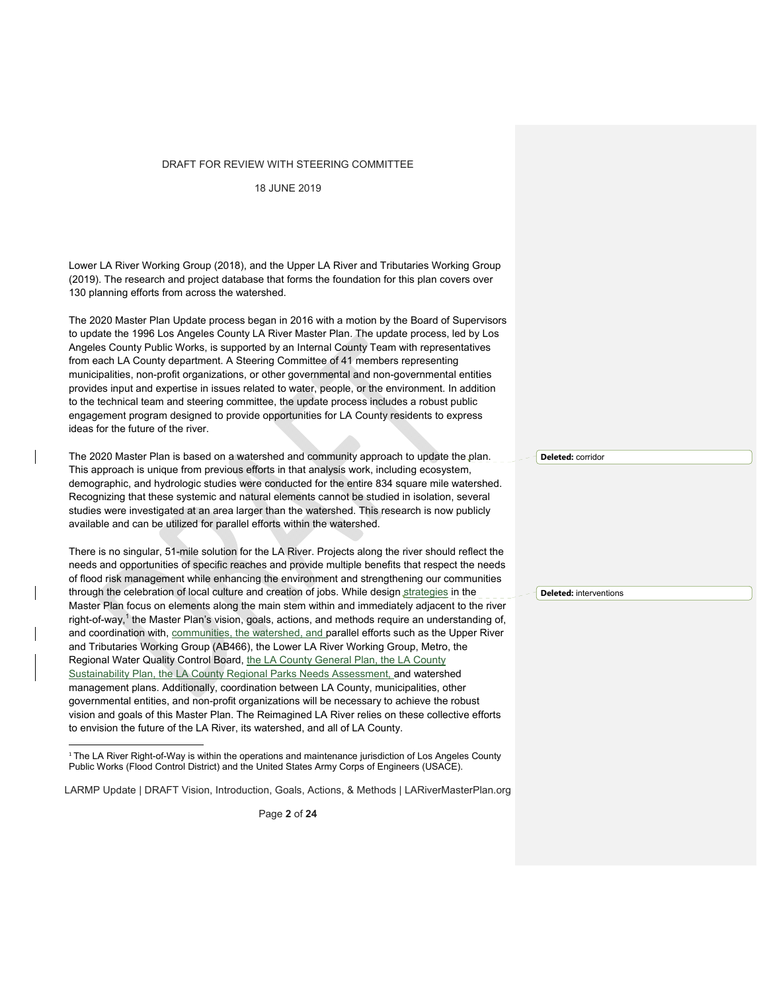18 JUNE 2019

Lower LA River Working Group (2018), and the Upper LA River and Tributaries Working Group (2019). The research and project database that forms the foundation for this plan covers over 130 planning efforts from across the watershed.

The 2020 Master Plan Update process began in 2016 with a motion by the Board of Supervisors to update the 1996 Los Angeles County LA River Master Plan. The update process, led by Los Angeles County Public Works, is supported by an Internal County Team with representatives from each LA County department. A Steering Committee of 41 members representing municipalities, non-profit organizations, or other governmental and non-governmental entities provides input and expertise in issues related to water, people, or the environment. In addition to the technical team and steering committee, the update process includes a robust public engagement program designed to provide opportunities for LA County residents to express ideas for the future of the river.

The 2020 Master Plan is based on a watershed and community approach to update the plan. This approach is unique from previous efforts in that analysis work, including ecosystem, demographic, and hydrologic studies were conducted for the entire 834 square mile watershed. Recognizing that these systemic and natural elements cannot be studied in isolation, several studies were investigated at an area larger than the watershed. This research is now publicly available and can be utilized for parallel efforts within the watershed.

There is no singular, 51-mile solution for the LA River. Projects along the river should reflect the needs and opportunities of specific reaches and provide multiple benefits that respect the needs of flood risk management while enhancing the environment and strengthening our communities through the celebration of local culture and creation of jobs. While design strategies in the Master Plan focus on elements along the main stem within and immediately adjacent to the river right-of-way,<sup>1</sup> the Master Plan's vision, goals, actions, and methods require an understanding of, and coordination with, communities, the watershed, and parallel efforts such as the Upper River and Tributaries Working Group (AB466), the Lower LA River Working Group, Metro, the Regional Water Quality Control Board, the LA County General Plan, the LA County Sustainability Plan, the LA County Regional Parks Needs Assessment, and watershed management plans. Additionally, coordination between LA County, municipalities, other governmental entities, and non-profit organizations will be necessary to achieve the robust vision and goals of this Master Plan. The Reimagined LA River relies on these collective efforts to envision the future of the LA River, its watershed, and all of LA County.

LARMP Update | DRAFT Vision, Introduction, Goals, Actions, & Methods | LARiverMasterPlan.org

Page **2** of **24**

**Deleted:** corridor

**Deleted:** interventions

<sup>&</sup>lt;sup>1</sup> The LA River Right-of-Way is within the operations and maintenance jurisdiction of Los Angeles County Public Works (Flood Control District) and the United States Army Corps of Engineers (USACE).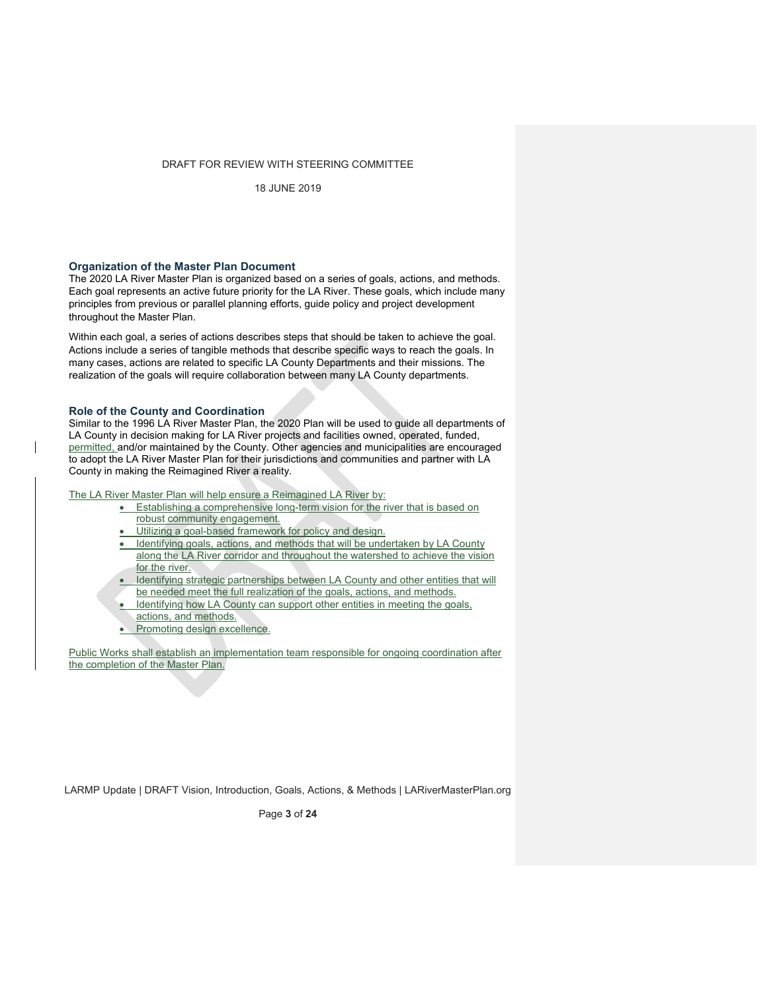18 JUNE 2019

## **Organization of the Master Plan Document**

The 2020 LA River Master Plan is organized based on a series of goals, actions, and methods. Each goal represents an active future priority for the LA River. These goals, which include many principles from previous or parallel planning efforts, guide policy and project development throughout the Master Plan.

Within each goal, a series of actions describes steps that should be taken to achieve the goal. Actions include a series of tangible methods that describe specific ways to reach the goals. In many cases, actions are related to specific LA County Departments and their missions. The realization of the goals will require collaboration between many LA County departments.

# **Role of the County and Coordination**

Similar to the 1996 LA River Master Plan, the 2020 Plan will be used to guide all departments of LA County in decision making for LA River projects and facilities owned, operated, funded, permitted, and/or maintained by the County. Other agencies and municipalities are encouraged to adopt the LA River Master Plan for their jurisdictions and communities and partner with LA County in making the Reimagined River a reality.

The LA River Master Plan will help ensure a Reimagined LA River by:

- **Establishing a comprehensive long-term vision for the river that is based on** robust community engagement.
- Utilizing a goal-based framework for policy and design.
- Identifying goals, actions, and methods that will be undertaken by LA County along the LA River corridor and throughout the watershed to achieve the vision for the river.
- Identifying strategic partnerships between LA County and other entities that will be needed meet the full realization of the goals, actions, and methods.
- Identifying how LA County can support other entities in meeting the goals,
- actions, and methods.
- Promoting design excellence.

Public Works shall establish an implementation team responsible for ongoing coordination after the completion of the Master Plan.

LARMP Update | DRAFT Vision, Introduction, Goals, Actions, & Methods | LARiverMasterPlan.org

Page **3** of **24**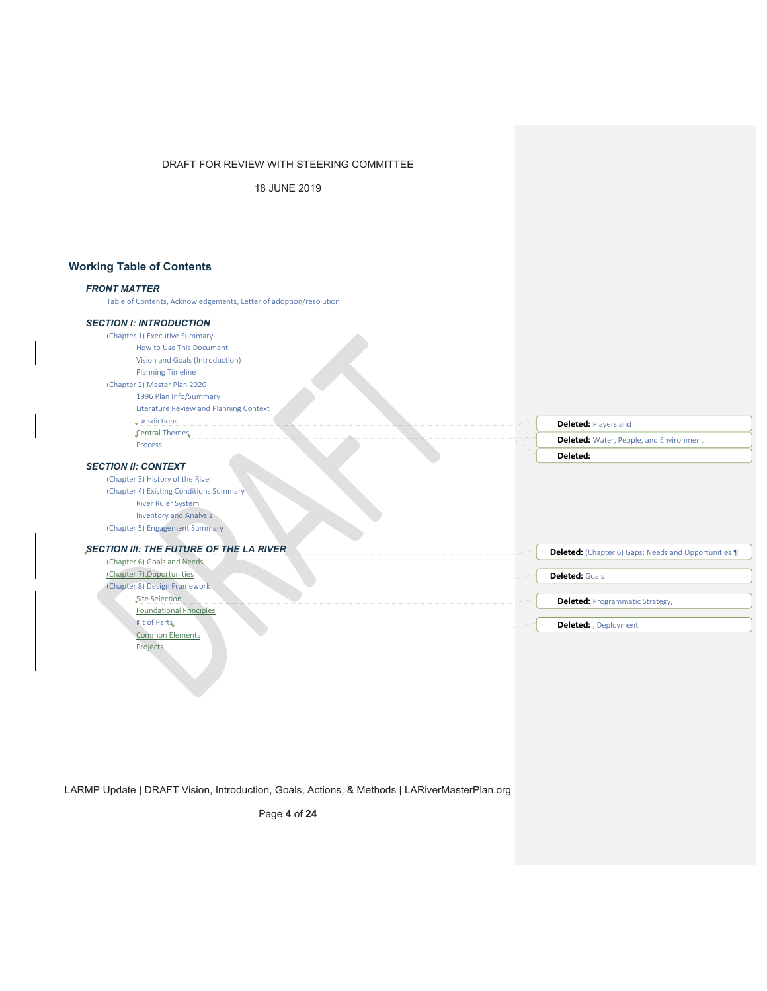18 JUNE 2019

# **Working Table of Contents**

## *FRONT MATTER*

Table of Contents, Acknowledgements, Letter of adoption/resolution

# *SECTION I: INTRODUCTION*

(Chapter 1) Executive Summary How to Use This Document Vision and Goals (Introduction) Planning Timeline (Chapter 2) Master Plan 2020 1996 Plan Info/Summary Literature Review and Planning Context  $J$ <u>urisdictions</u> Central Themes

# **Deleted:** Players and **Deleted:**

## *SECTION II: CONTEXT*

Process

(Chapter 3) History of the River (Chapter 4) Existing Conditions Summary River Ruler System Inventory and Analysis (Chapter 5) Engagement Summary

## **SECTION III: THE FUTURE OF THE LA RIVER**

(Chapter 6) Goals and Needs (Chapter 7) Opportunities (Chapter 8) Design Framework Site Selection Foundational Principles  $\overline{\text{Kit of Parts}}$  = = = = = Common Elements Projects

**Deleted:** Water, People, and Environment

**Deleted:** (Chapter 6) Gaps: Needs and Opportunities ¶

**Deleted:** Programmatic Strategy,

**Deleted:** , Deployment

**Deleted:** Goals

LARMP Update | DRAFT Vision, Introduction, Goals, Actions, & Methods | LARiverMasterPlan.org

Page **4** of **24**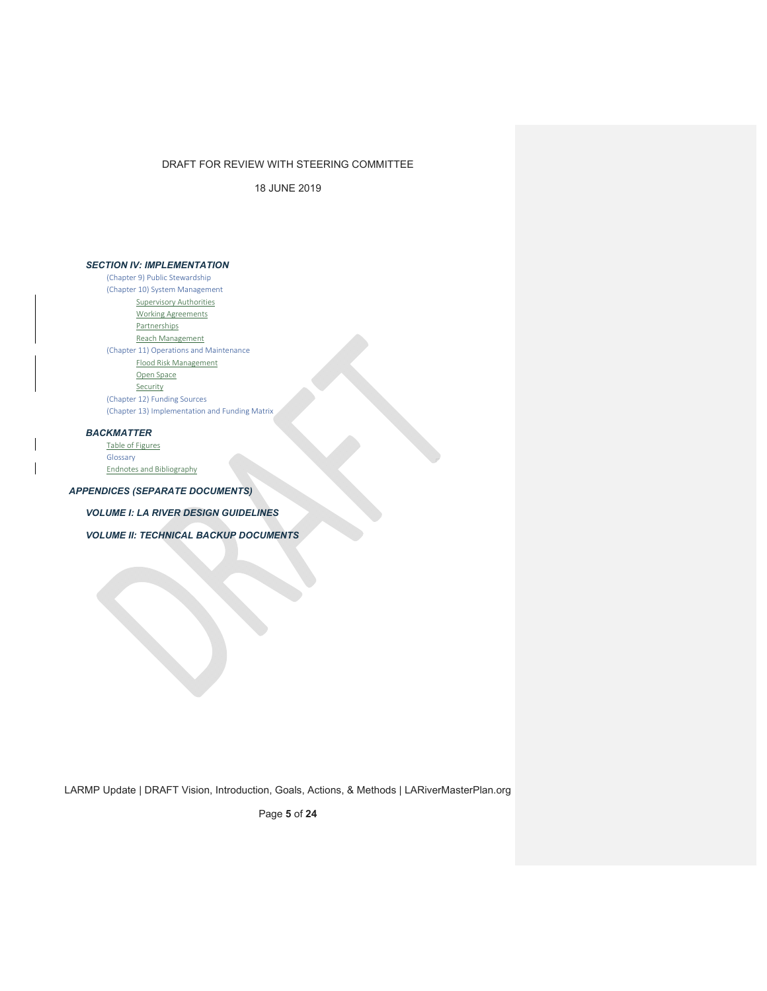18 JUNE 2019

## *SECTION IV: IMPLEMENTATION*

(Chapter 9) Public Stewardship (Chapter 10) System Management Supervisory Authorities Working Agreements **Partnerships** Reach Management (Chapter 11) Operations and Maintenance Flood Risk Management Open Space Security (Chapter 12) Funding Sources (Chapter 13) Implementation and Funding Matrix

## *BACKMATTER*

Table of Figures Glossary

Endnotes and Bibliography

## *APPENDICES (SEPARATE DOCUMENTS)*

*VOLUME I: LA RIVER DESIGN GUIDELINES* 

*VOLUME II: TECHNICAL BACKUP DOCUMENTS*

LARMP Update | DRAFT Vision, Introduction, Goals, Actions, & Methods | LARiverMasterPlan.org

Page **5** of **24**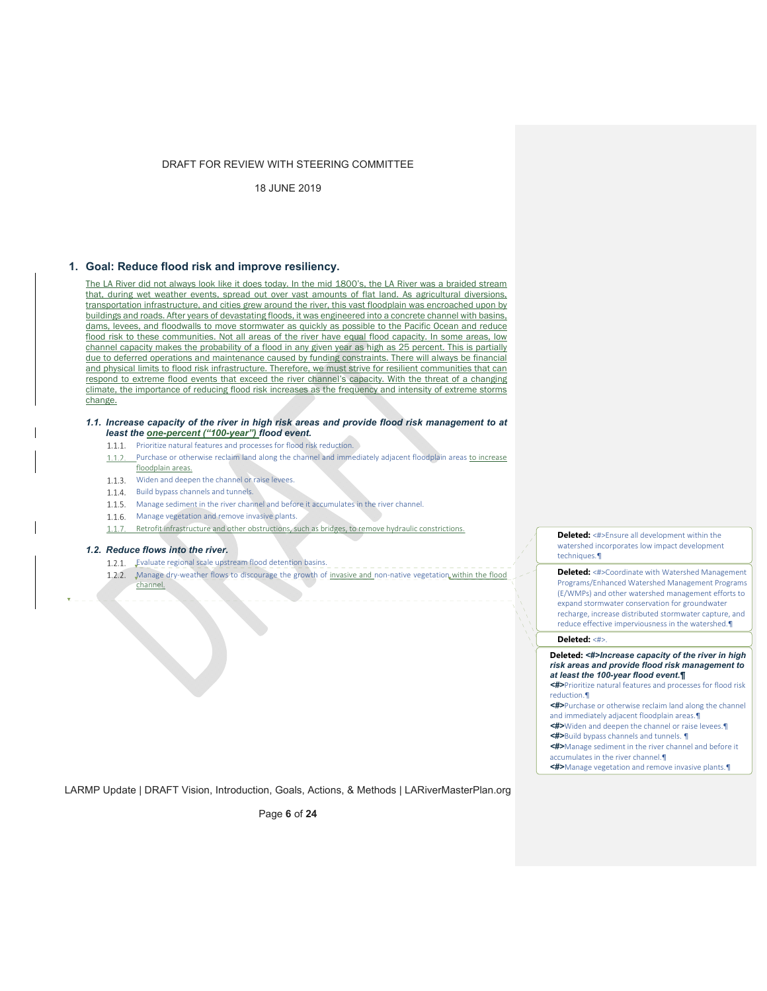18 JUNE 2019

## **1. Goal: Reduce flood risk and improve resiliency.**

The LA River did not always look like it does today. In the mid 1800's, the LA River was a braided stream that, during wet weather events, spread out over vast amounts of flat land. As agricultural diversions, transportation infrastructure, and cities grew around the river, this vast floodplain was encroached upon by buildings and roads. After years of devastating floods, it was engineered into a concrete channel with basins, dams, levees, and floodwalls to move stormwater as quickly as possible to the Pacific Ocean and reduce flood risk to these communities. Not all areas of the river have equal flood capacity. In some areas, low channel capacity makes the probability of a flood in any given year as high as 25 percent. This is partially due to deferred operations and maintenance caused by funding constraints. There will always be financial and physical limits to flood risk infrastructure. Therefore, we must strive for resilient communities that can respond to extreme flood events that exceed the river channel's capacity. With the threat of a changing climate, the importance of reducing flood risk increases as the frequency and intensity of extreme storms change.

- *1.1. Increase capacity of the river in high risk areas and provide flood risk management to at least the one-percent ("100-year") flood event.* 
	- 1.1.1. Prioritize natural features and processes for flood risk reduction.
	- Purchase or otherwise reclaim land along the channel and immediately adjacent floodplain areas to increase  $1.1.2.$ floodplain areas.
	- 1.1.3. Widen and deepen the channel or raise levees.
	- 1.1.4. Build bypass channels and tunnels.
	- 1.1.5. Manage sediment in the river channel and before it accumulates in the river channel.
	- 1.1.6. Manage vegetation and remove invasive plants.
	- 1.1.7. Retrofit infrastructure and other obstructions, such as bridges, to remove hydraulic constrictions.

#### *1.2. Reduce flows into the river.*

- 1.2.1. Fvaluate regional scale upstream flood detention basins.
- $1.2.2.$ Manage dry-weather flows to discourage the growth of invasive and non-native vegetation within the flood channel.

**Deleted:** <#>Ensure all development within the watershed incorporates low impact development techniques.¶

**Deleted:** <#>Coordinate with Watershed Management Programs/Enhanced Watershed Management Programs (E/WMPs) and other watershed management efforts to expand stormwater conservation for groundwater recharge, increase distributed stormwater capture, and reduce effective imperviousness in the watershed.¶

## **Deleted:** <#>.

#### **Deleted:** *<#>Increase capacity of the river in high risk areas and provide flood risk management to at least the 100-year flood event.¶*

*<#>*Prioritize natural features and processes for flood risk reduction.¶

*<#>*Purchase or otherwise reclaim land along the channel and immediately adjacent floodplain areas.¶

*<#>*Widen and deepen the channel or raise levees.¶

*<#>*Build bypass channels and tunnels. ¶

*<#>*Manage sediment in the river channel and before it

accumulates in the river channel.¶

*<#>*Manage vegetation and remove invasive plants.¶

LARMP Update | DRAFT Vision, Introduction, Goals, Actions, & Methods | LARiverMasterPlan.org

Page **6** of **24**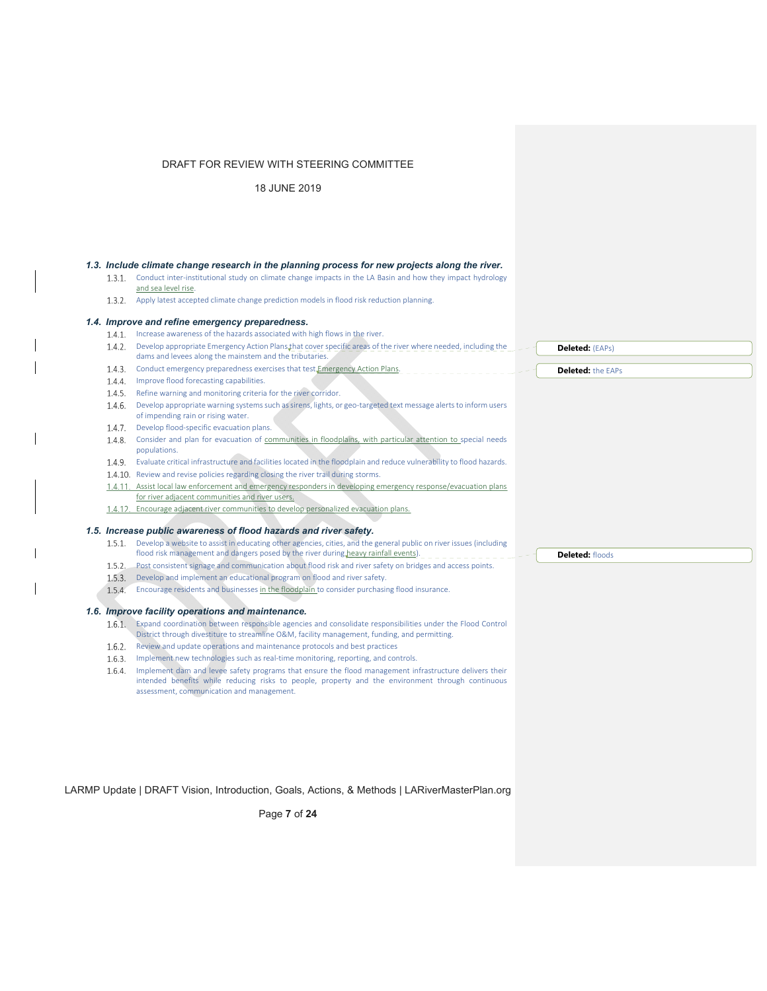18 JUNE 2019

#### *1.3. Include climate change research in the planning process for new projects along the river.*

- 1.3.1. Conduct inter-institutional study on climate change impacts in the LA Basin and how they impact hydrology and sea level rise.
- 1.3.2. Apply latest accepted climate change prediction models in flood risk reduction planning.

## *1.4. Improve and refine emergency preparedness.*

- 1.4.1. Increase awareness of the hazards associated with high flows in the river.
- 1.4.2. Develop appropriate Emergency Action Plans that cover specific areas of the river where needed, including the dams and levees along the mainstem and the tributaries.
- 1.4.3. Conduct emergency preparedness exercises that test Emergency Action Plans. 1.4.4. Improve flood forecasting capabilities.
- 
- 1.4.5. Refine warning and monitoring criteria for the river corridor.
- 1.4.6. Develop appropriate warning systems such as sirens, lights, or geo-targeted text message alerts to inform users of impending rain or rising water.
- 1.4.7. Develop flood-specific evacuation plans.
- 1.4.8. Consider and plan for evacuation of communities in floodplains, with particular attention to special needs populations.
- Evaluate critical infrastructure and facilities located in the floodplain and reduce vulnerability to flood hazards.
- 1.4.10. Review and revise policies regarding closing the river trail during storms.
- 1.4.11. Assist local law enforcement and emergency responders in developing emergency response/evacuation plans for river adjacent communities and river users.
- 1.4.12. Encourage adjacent river communities to develop personalized evacuation plans.

#### *1.5. Increase public awareness of flood hazards and river safety.*

- 1.5.1. Develop a website to assist in educating other agencies, cities, and the general public on river issues (including
- flood risk management and dangers posed by the river during heavy rainfall events).  $\Box$
- 1.5.2. Post consistent signage and communication about flood risk and river safety on bridges and access points.
- 1.5.3. Develop and implement an educational program on flood and river safety.
- 1.5.4. Encourage residents and businesses in the floodplain to consider purchasing flood insurance.

## *1.6. Improve facility operations and maintenance.*

- Expand coordination between responsible agencies and consolidate responsibilities under the Flood Control District through divestiture to streamline O&M, facility management, funding, and permitting.
- 1.6.2. Review and update operations and maintenance protocols and best practices
- 1.6.3. Implement new technologies such as real-time monitoring, reporting, and controls.

1.6.4. Implement dam and levee safety programs that ensure the flood management infrastructure delivers their intended benefits while reducing risks to people, property and the environment through continuous assessment, communication and management.

LARMP Update | DRAFT Vision, Introduction, Goals, Actions, & Methods | LARiverMasterPlan.org

Page **7** of **24**

#### **Deleted:** floods

**Deleted:** (EAPs) **Deleted:** the EAPs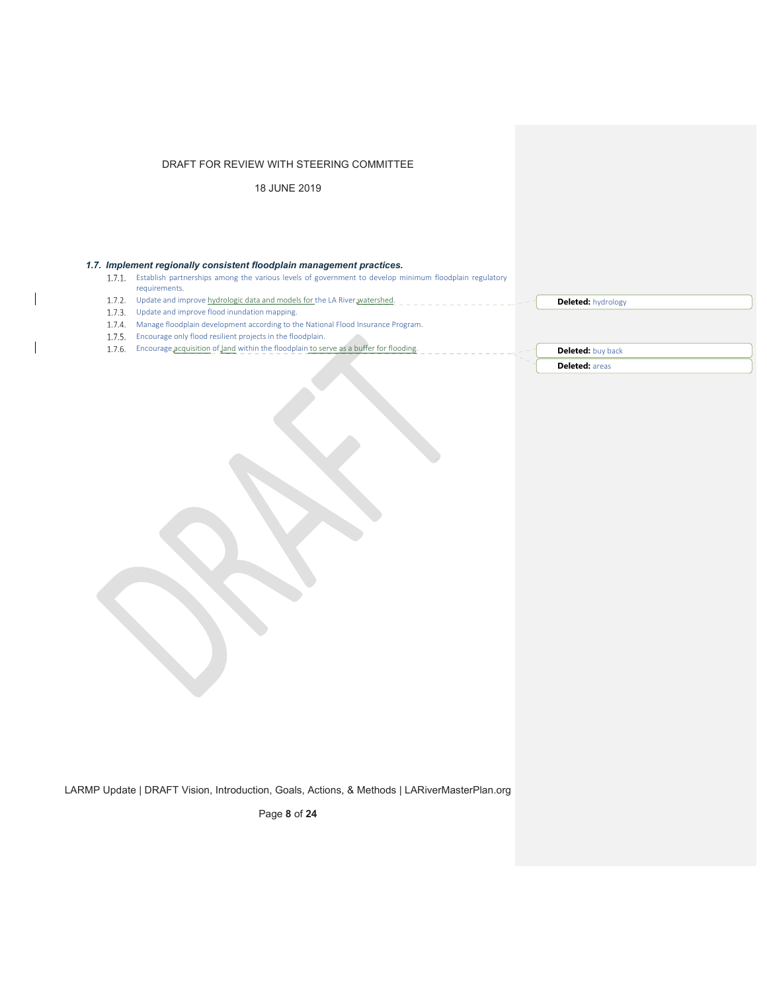18 JUNE 2019

## *1.7. Implement regionally consistent floodplain management practices.*

- 1.7.1. Establish partnerships among the various levels of government to develop minimum floodplain regulatory requirements.
- 1.7.2. Update and improve hydrologic data and models for the LA River watershed.
- 1.7.3. Update and improve flood inundation mapping.

 $\overline{\phantom{a}}$ 

- 1.7.4. Manage floodplain development according to the National Flood Insurance Program.
- 1.7.5. Encourage only flood resilient projects in the floodplain.
- 1.7.6. Encourage acquisition of land within the floodplain to serve as a buffer for flooding.

**Deleted:** hydrology

**Deleted:** buy back **Deleted:** areas

LARMP Update | DRAFT Vision, Introduction, Goals, Actions, & Methods | LARiverMasterPlan.org

Page **8** of **24**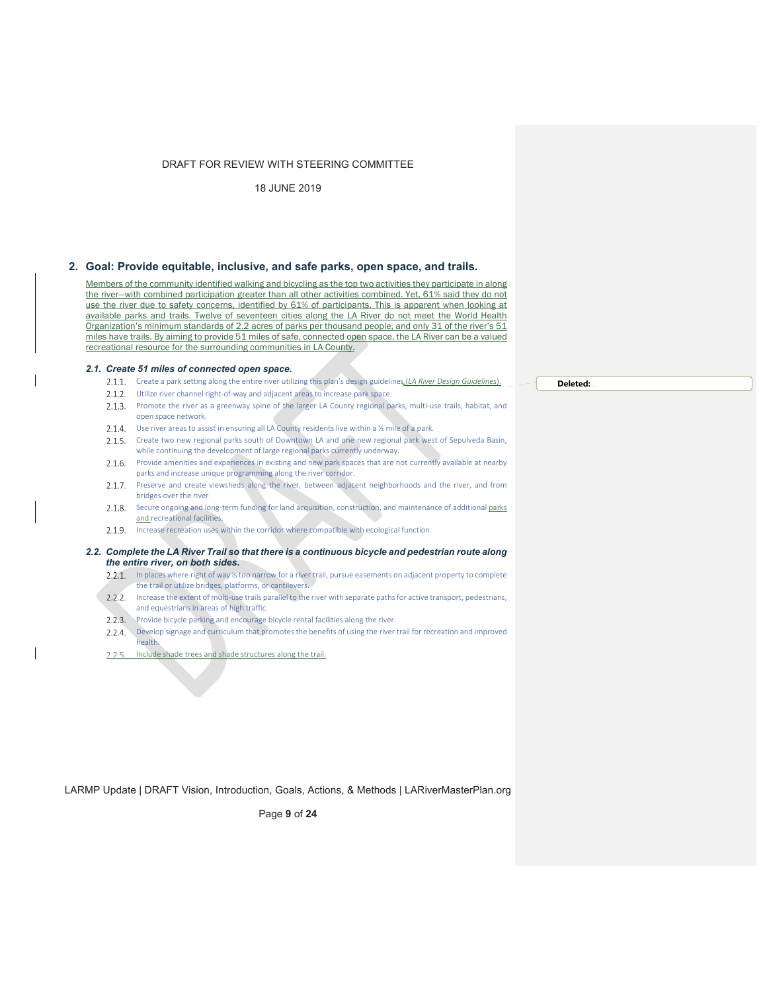18 JUNE 2019

## **2. Goal: Provide equitable, inclusive, and safe parks, open space, and trails.**

Members of the community identified walking and bicycling as the top two activities they participate in along the river—with combined participation greater than all other activities combined. Yet, 61% said they do not use the river due to safety concerns, identified by 61% of participants. This is apparent when looking at available parks and trails. Twelve of seventeen cities along the LA River do not meet the World Health Organization's minimum standards of 2.2 acres of parks per thousand people, and only 31 of the river's 51 miles have trails. By aiming to provide 51 miles of safe, connected open space, the LA River can be a valued recreational resource for the surrounding communities in LA County.

#### *2.1. Create 51 miles of connected open space.*

- 2.1.1. Create a park setting along the entire river utilizing this plan's design guidelines (*LA River Design Guidelines*).
- 2.1.2. Utilize river channel right-of-way and adjacent areas to increase park space.
- 2.1.3. Promote the river as a greenway spine of the larger LA County regional parks, multi-use trails, habitat, and open space network.
- 2.1.4. Use river areas to assist in ensuring all LA County residents live within a 1/2 mile of a park.
- 2.1.5. Create two new regional parks south of Downtown LA and one new regional park west of Sepulveda Basin, while continuing the development of large regional parks currently underway.
- 2.1.6. Provide amenities and experiences in existing and new park spaces that are not currently available at nearby parks and increase unique programming along the river corridor.
- 2.1.7. Preserve and create viewsheds along the river, between adjacent neighborhoods and the river, and from bridges over the river.
- 2.1.8. Secure ongoing and long-term funding for land acquisition, construction, and maintenance of additional parks and recreational facilities.
- 2.1.9. Increase recreation uses within the corridor where compatible with ecological function.

#### *2.2. Complete the LA River Trail so that there is a continuous bicycle and pedestrian route along the entire river, on both sides.*

- 2.2.1. In places where right of way is too narrow for a river trail, pursue easements on adjacent property to complete the trail or utilize bridges, platforms, or cantilevers.
- 2.2.2. Increase the extent of multi-use trails parallel to the river with separate paths for active transport, pedestrians, and equestrians in areas of high traffic.
- 2.2.3. Provide bicycle parking and encourage bicycle rental facilities along the river.
- 2.2.4. Develop signage and curriculum that promotes the benefits of using the river trail for recreation and improved health.
- 2.2.5. Include shade trees and shade structures along the trail.

LARMP Update | DRAFT Vision, Introduction, Goals, Actions, & Methods | LARiverMasterPlan.org

Page **9** of **24**

#### **Deleted:** .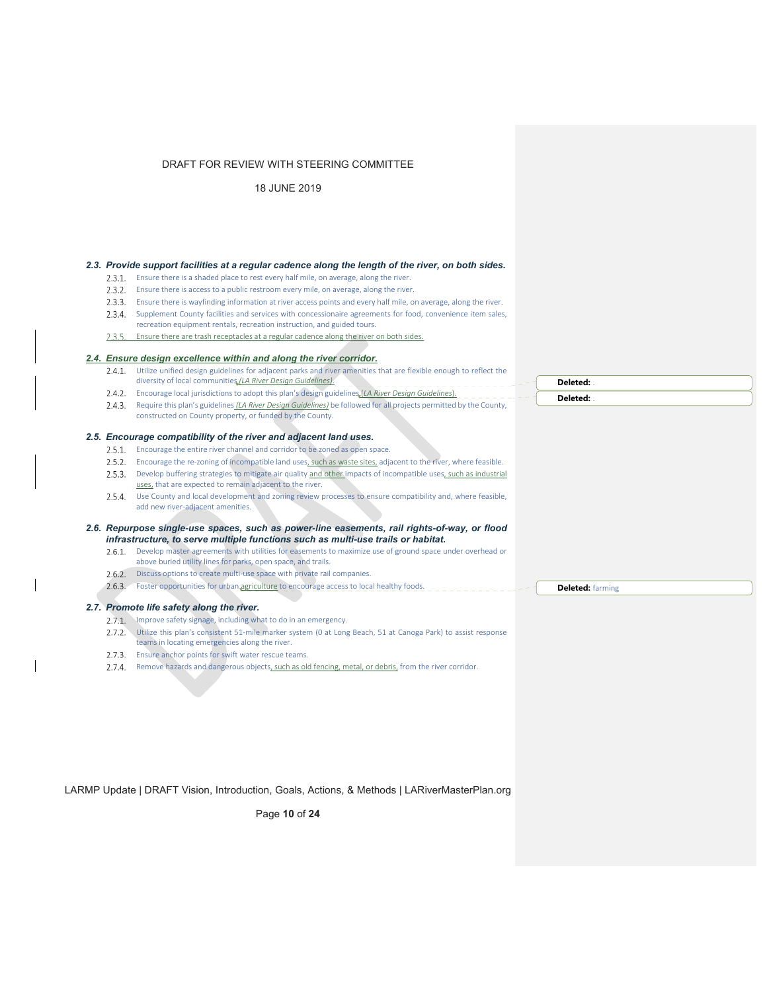18 JUNE 2019

#### *2.3. Provide support facilities at a regular cadence along the length of the river, on both sides.*

- 2.3.1. Ensure there is a shaded place to rest every half mile, on average, along the river.
- 2.3.2. Ensure there is access to a public restroom every mile, on average, along the river.
- Ensure there is wayfinding information at river access points and every half mile, on average, along the river. 2.3.4. Supplement County facilities and services with concessionaire agreements for food, convenience item sales, recreation equipment rentals, recreation instruction, and guided tours.
- 2.3.5. Ensure there are trash receptacles at a regular cadence along the river on both sides.

## *2.4. Ensure design excellence within and along the river corridor.*

- 2.4.1. Utilize unified design guidelines for adjacent parks and river amenities that are flexible enough to reflect the diversity of local communities *(LA River Design Guidelines)*.
- 2.4.2. Encourage local jurisdictions to adopt this plan's design guidelines (*LA River Design Guidelines*).
- 2.4.3. Require this plan's guidelines *(LA River Design Guidelines)* be followed for all projects permitted by the County,
- constructed on County property, or funded by the County.

#### *2.5. Encourage compatibility of the river and adjacent land uses.*

- 2.5.1. Encourage the entire river channel and corridor to be zoned as open space.
- 2.5.2. Encourage the re-zoning of incompatible land uses, such as waste sites, adjacent to the river, where feasible.
- 2.5.3. Develop buffering strategies to mitigate air quality and other impacts of incompatible uses, such as industrial uses, that are expected to remain adjacent to the river.
- 2.5.4. Use County and local development and zoning review processes to ensure compatibility and, where feasible, add new river‐adjacent amenities.

#### *2.6. Repurpose single-use spaces, such as power-line easements, rail rights-of-way, or flood infrastructure, to serve multiple functions such as multi-use trails or habitat.*

- 2.6.1. Develop master agreements with utilities for easements to maximize use of ground space under overhead or above buried utility lines for parks, open space, and trails.
- 2.6.2. Discuss options to create multi-use space with private rail companies.
- 2.6.3. Foster opportunities for urban agriculture to encourage access to local healthy foods.

#### *2.7. Promote life safety along the river.*

- 2.7.1. Improve safety signage, including what to do in an emergency.
- 2.7.2. Utilize this plan's consistent 51-mile marker system (0 at Long Beach, 51 at Canoga Park) to assist response
- teams in locating emergencies along the river.
- 2.7.3. Ensure anchor points for swift water rescue teams.
- 2.7.4. Remove hazards and dangerous objects, such as old fencing, metal, or debris, from the river corridor.

LARMP Update | DRAFT Vision, Introduction, Goals, Actions, & Methods | LARiverMasterPlan.org

Page **10** of **24**

**Deleted:** . **Deleted:** .

**Deleted:** farming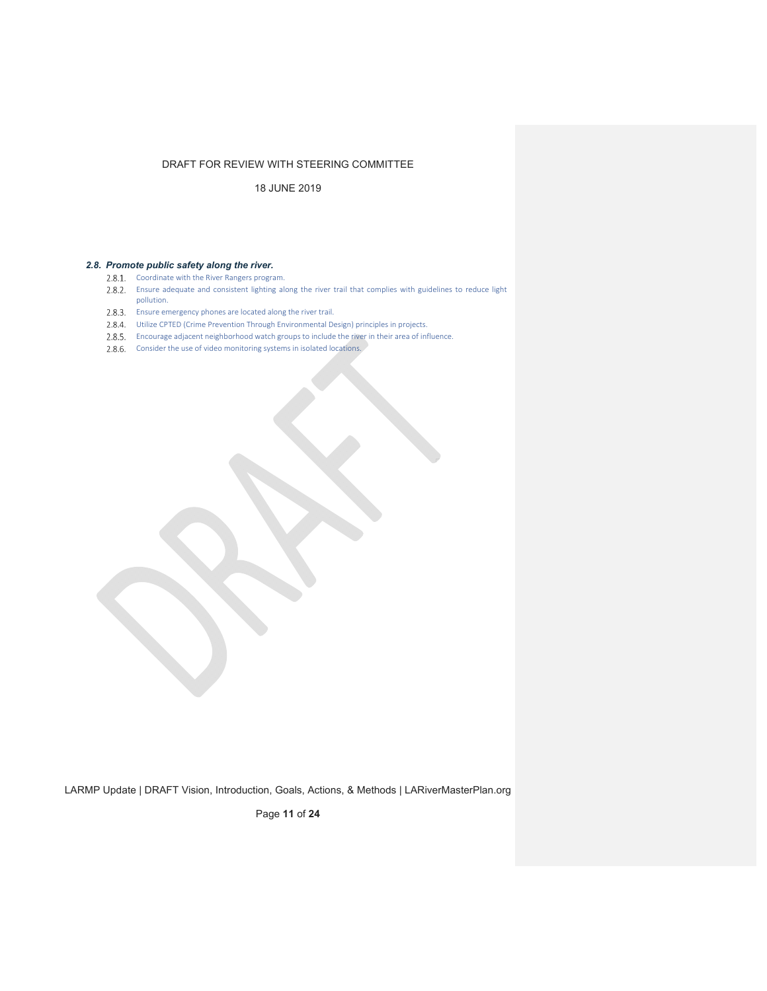18 JUNE 2019

## *2.8. Promote public safety along the river.*

- 2.8.1. Coordinate with the River Rangers program.
- 2.8.2. Ensure adequate and consistent lighting along the river trail that complies with guidelines to reduce light pollution.
- 2.8.3. Ensure emergency phones are located along the river trail.
- Utilize CPTED (Crime Prevention Through Environmental Design) principles in projects.
- Encourage adjacent neighborhood watch groups to include the river in their area of influence.
- 2.8.6. Consider the use of video monitoring systems in isolated locations.

LARMP Update | DRAFT Vision, Introduction, Goals, Actions, & Methods | LARiverMasterPlan.org

Page **11** of **24**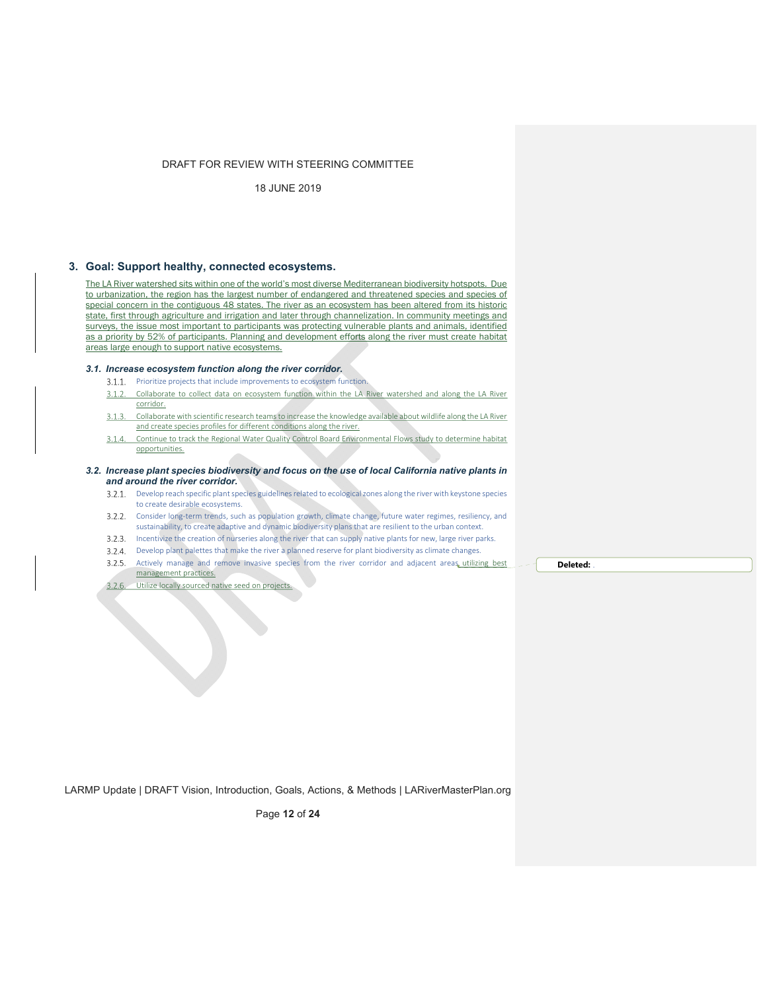18 JUNE 2019

## **3. Goal: Support healthy, connected ecosystems.**

The LA River watershed sits within one of the world's most diverse Mediterranean biodiversity hotspots. Due to urbanization, the region has the largest number of endangered and threatened species and species of special concern in the contiguous 48 states. The river as an ecosystem has been altered from its historic state, first through agriculture and irrigation and later through channelization. In community meetings and surveys, the issue most important to participants was protecting vulnerable plants and animals, identified as a priority by 52% of participants. Planning and development efforts along the river must create habitat areas large enough to support native ecosystems.

## *3.1. Increase ecosystem function along the river corridor.*

- 3.1.1. Prioritize projects that include improvements to ecosystem function.
- $3.1.2.$ Collaborate to collect data on ecosystem function within the LA River watershed and along the LA River corridor.
- Collaborate with scientific research teamsto increase the knowledge available about wildlife along the LA River  $3.1.3.$ and create species profiles for different conditions along the river.
- 3.1.4. Continue to track the Regional Water Quality Control Board Environmental Flows study to determine habitat opportunities.

#### *3.2. Increase plant species biodiversity and focus on the use of local California native plants in and around the river corridor.*

- 3.2.1. Develop reach specific plant species guidelines related to ecological zones along the river with keystone species to create desirable ecosystems.
- 3.2.2. Consider long-term trends, such as population growth, climate change, future water regimes, resiliency, and sustainability, to create adaptive and dynamic biodiversity plans that are resilient to the urban context.
- 3.2.3. Incentivize the creation of nurseries along the river that can supply native plants for new, large river parks.
- 3.2.4. Develop plant palettes that make the river a planned reserve for plant biodiversity as climate changes.
- 3.2.5. Actively manage and remove invasive species from the river corridor and adjacent areas utilizing best management practices.
- 3.2.6. Utilize locally sourced native seed on projects.

**Deleted:** .

LARMP Update | DRAFT Vision, Introduction, Goals, Actions, & Methods | LARiverMasterPlan.org

Page **12** of **24**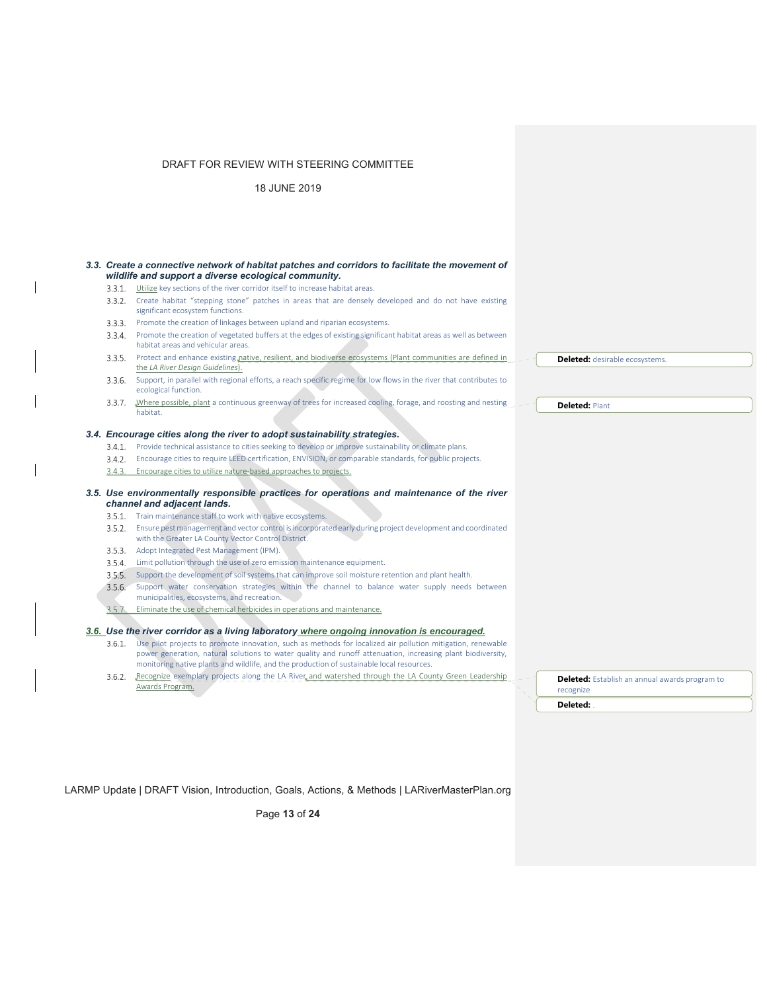18 JUNE 2019

 $\mathbf{I}$ 

 $\overline{\phantom{a}}$ 

 $\overline{\phantom{a}}$ 

| wildlife and support a diverse ecological community.                                   | 3.3. Create a connective network of habitat patches and corridors to facilitate the movement of                                                                                                                                                                                                                                |                                                             |
|----------------------------------------------------------------------------------------|--------------------------------------------------------------------------------------------------------------------------------------------------------------------------------------------------------------------------------------------------------------------------------------------------------------------------------|-------------------------------------------------------------|
| Utilize key sections of the river corridor itself to increase habitat areas.<br>3.3.1. |                                                                                                                                                                                                                                                                                                                                |                                                             |
| significant ecosystem functions.                                                       | 3.3.2. Create habitat "stepping stone" patches in areas that are densely developed and do not have existing                                                                                                                                                                                                                    |                                                             |
| 3.3.3. Promote the creation of linkages between upland and riparian ecosystems.        |                                                                                                                                                                                                                                                                                                                                |                                                             |
| habitat areas and vehicular areas.                                                     | 3.3.4. Promote the creation of vegetated buffers at the edges of existing significant habitat areas as well as between                                                                                                                                                                                                         |                                                             |
| the LA River Design Guidelines).                                                       | 3.3.5. Protect and enhance existing native, resilient, and biodiverse ecosystems (Plant communities are defined in                                                                                                                                                                                                             | <b>Deleted:</b> desirable ecosystems.                       |
| ecological function.                                                                   | 3.3.6. Support, in parallel with regional efforts, a reach specific regime for low flows in the river that contributes to                                                                                                                                                                                                      |                                                             |
| habitat.                                                                               | 3.3.7. Where possible, plant a continuous greenway of trees for increased cooling, forage, and roosting and nesting                                                                                                                                                                                                            | <b>Deleted: Plant</b>                                       |
| 3.4. Encourage cities along the river to adopt sustainability strategies.              |                                                                                                                                                                                                                                                                                                                                |                                                             |
|                                                                                        | 3.4.1. Provide technical assistance to cities seeking to develop or improve sustainability or climate plans.                                                                                                                                                                                                                   |                                                             |
| 3.4.2.                                                                                 | Encourage cities to require LEED certification, ENVISION, or comparable standards, for public projects.                                                                                                                                                                                                                        |                                                             |
| Encourage cities to utilize nature-based approaches to projects.<br>3.4.3.             |                                                                                                                                                                                                                                                                                                                                |                                                             |
| channel and adjacent lands.                                                            | 3.5. Use environmentally responsible practices for operations and maintenance of the river                                                                                                                                                                                                                                     |                                                             |
| 3.5.1. Train maintenance staff to work with native ecosystems.                         |                                                                                                                                                                                                                                                                                                                                |                                                             |
| with the Greater LA County Vector Control District.                                    | 3.5.2. Ensure pest management and vector control is incorporated early during project development and coordinated                                                                                                                                                                                                              |                                                             |
| Adopt Integrated Pest Management (IPM).<br>3.5.3.                                      |                                                                                                                                                                                                                                                                                                                                |                                                             |
| 3.5.4.<br>Limit pollution through the use of zero emission maintenance equipment.      |                                                                                                                                                                                                                                                                                                                                |                                                             |
| 3.5.5.                                                                                 | Support the development of soil systems that can improve soil moisture retention and plant health.                                                                                                                                                                                                                             |                                                             |
| 3.5.6.<br>municipalities, ecosystems, and recreation.                                  | Support water conservation strategies within the channel to balance water supply needs between                                                                                                                                                                                                                                 |                                                             |
| Eliminate the use of chemical herbicides in operations and maintenance.<br>3.5.7.      |                                                                                                                                                                                                                                                                                                                                |                                                             |
|                                                                                        |                                                                                                                                                                                                                                                                                                                                |                                                             |
|                                                                                        | 3.6. Use the river corridor as a living laboratory where ongoing innovation is encouraged.                                                                                                                                                                                                                                     |                                                             |
|                                                                                        | 3.6.1. Use pilot projects to promote innovation, such as methods for localized air pollution mitigation, renewable<br>power generation, natural solutions to water quality and runoff attenuation, increasing plant biodiversity,<br>monitoring native plants and wildlife, and the production of sustainable local resources. |                                                             |
| 3.6.2.<br>Awards Program.                                                              | Recognize exemplary projects along the LA River and watershed through the LA County Green Leadership                                                                                                                                                                                                                           | Deleted: Establish an annual awards program to<br>recognize |
|                                                                                        |                                                                                                                                                                                                                                                                                                                                |                                                             |

LARMP Update | DRAFT Vision, Introduction, Goals, Actions, & Methods | LARiverMasterPlan.org

Page **13** of **24**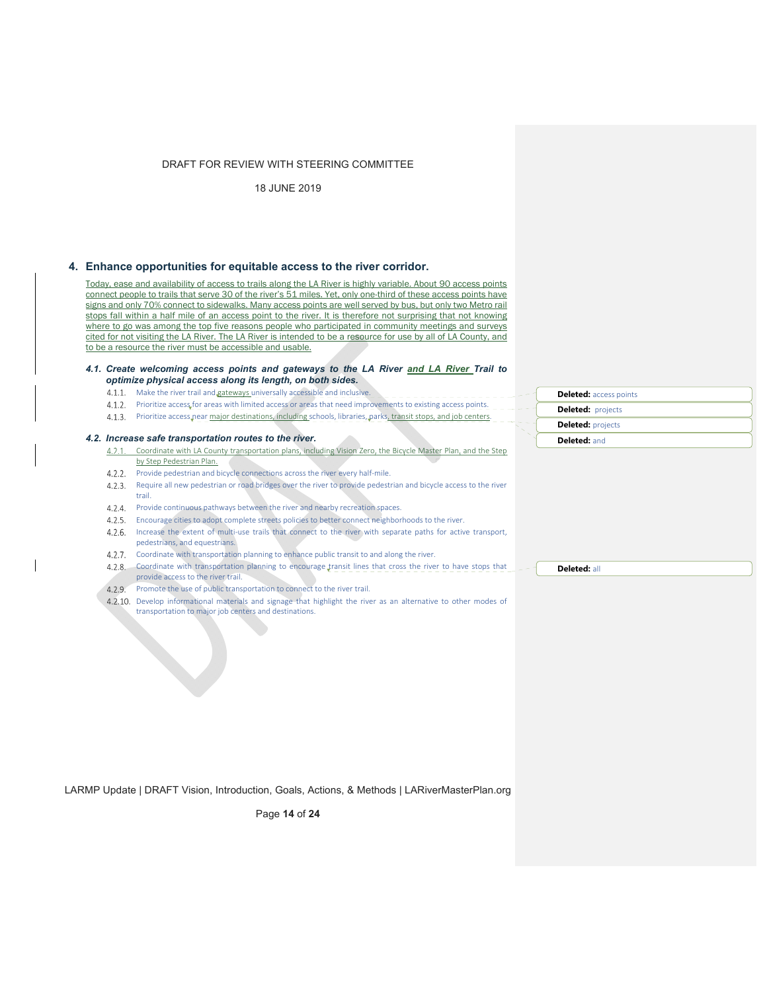18 JUNE 2019

## **4. Enhance opportunities for equitable access to the river corridor.**

Today, ease and availability of access to trails along the LA River is highly variable. About 90 access points connect people to trails that serve 30 of the river's 51 miles. Yet, only one-third of these access points have signs and only 70% connect to sidewalks. Many access points are well served by bus, but only two Metro rail stops fall within a half mile of an access point to the river. It is therefore not surprising that not knowing where to go was among the top five reasons people who participated in community meetings and surveys cited for not visiting the LA River. The LA River is intended to be a resource for use by all of LA County, and to be a resource the river must be accessible and usable.

#### *4.1. Create welcoming access points and gateways to the LA River and LA River Trail to optimize physical access along its length, on both sides.*

- 4.1.1. Make the river trail and gateways universally accessible and inclusive.
- 4.1.2. Prioritize access for areas with limited access or areas that need improvements to existing access points.
- 4.1.3. Prioritize access pear major destinations, including schools, libraries, parks, transit stops, and job centers.

#### *4.2. Increase safe transportation routes to the river.*

- 4.2.1. Coordinate with LA County transportation plans, including Vision Zero, the Bicycle Master Plan, and the Step by Step Pedestrian Plan.
- 4.2.2. Provide pedestrian and bicycle connections across the river every half-mile.
- Require all new pedestrian or road bridges over the river to provide pedestrian and bicycle access to the river trail.
- 4.2.4. Provide continuous pathways between the river and nearby recreation spaces.
- 4.2.5. Encourage cities to adopt complete streets policies to better connect neighborhoods to the river. 4.2.6. Increase the extent of multi-use trails that connect to the river with separate paths for active transport, pedestrians, and equestrians.
- 4.2.7. Coordinate with transportation planning to enhance public transit to and along the river.
- 4.2.8. Coordinate with transportation planning to encourage transit lines that cross the river to have stops that provide access to the river trail.
- 4.2.9. Promote the use of public transportation to connect to the river trail.
- 4.2.10. Develop informational materials and signage that highlight the river as an alternative to other modes of transportation to major job centers and destinations.

**Deleted:** access points **Deleted:** projects **Deleted:** projects **Deleted:** and

**Deleted:** all

LARMP Update | DRAFT Vision, Introduction, Goals, Actions, & Methods | LARiverMasterPlan.org

Page **14** of **24**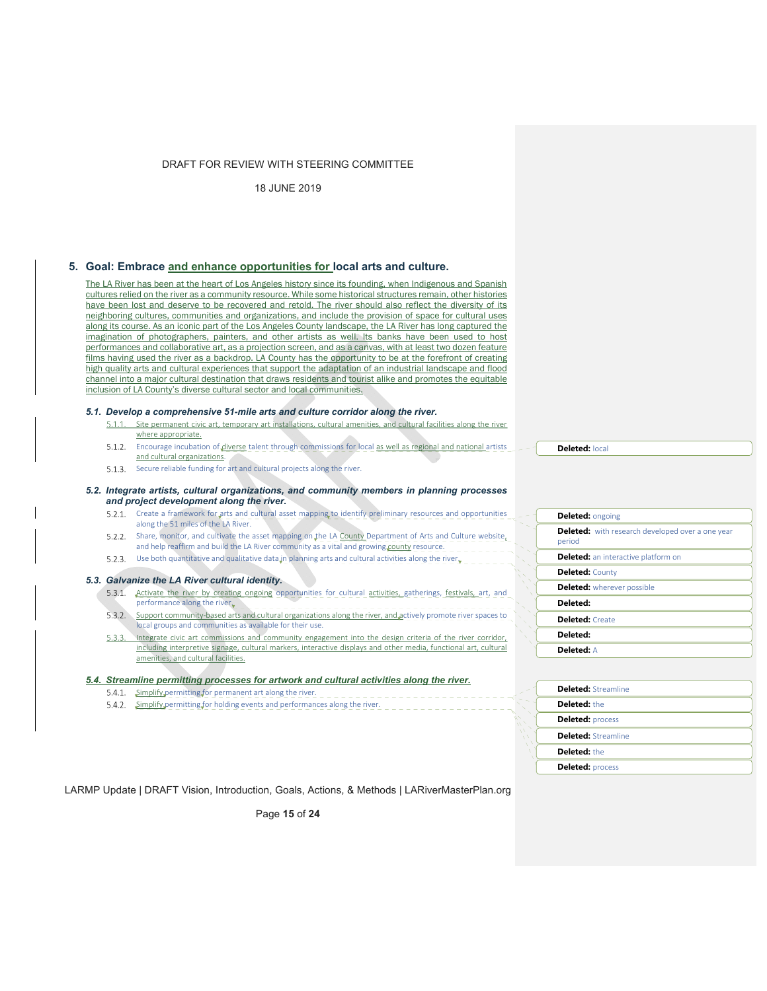18 JUNE 2019

## **5. Goal: Embrace and enhance opportunities for local arts and culture.**

The LA River has been at the heart of Los Angeles history since its founding, when Indigenous and Spanish cultures relied on the river as a community resource. While some historical structures remain, other histories have been lost and deserve to be recovered and retold. The river should also reflect the diversity of its neighboring cultures, communities and organizations, and include the provision of space for cultural uses along its course. As an iconic part of the Los Angeles County landscape, the LA River has long captured the imagination of photographers, painters, and other artists as well. Its banks have been used to host performances and collaborative art, as a projection screen, and as a canvas, with at least two dozen feature films having used the river as a backdrop. LA County has the opportunity to be at the forefront of creating high quality arts and cultural experiences that support the adaptation of an industrial landscape and flood channel into a major cultural destination that draws residents and tourist alike and promotes the equitable inclusion of LA County's diverse cultural sector and local communities.

#### *5.1. Develop a comprehensive 51-mile arts and culture corridor along the river.*

- $5.1.1.$ Site permanent civic art, temporary art installations, cultural amenities, and cultural facilities along the river where appropriate. 5.1.2. Encourage incubation of diverse talent through commissions for local as well as regional and national artists
- and cultural organizations.
- 5.1.3. Secure reliable funding for art and cultural projects along the river.

#### *5.2. Integrate artists, cultural organizations, and community members in planning processes and project development along the river.*

- 5.2.1. Create a framework for arts and cultural asset mapping to identify preliminary resources and opportunities along the 51 miles of the LA River.
- 5.2.2. Share, monitor, and cultivate the asset mapping on the LA County Department of Arts and Culture website, and help reaffirm and build the LA River community as a vital and growing county resource.  $\Box \Box \Box$
- 5.2.3. Use both quantitative and qualitative data in planning arts and cultural activities along the river.

#### *5.3. Galvanize the LA River cultural identity.*

- 5.3.1. Activate the river by creating ongoing opportunities for cultural activities, gatherings, festivals, art, and performance along the river $\sqrt{2}$  - - - - -
- 5.3.2. Support community-based arts and cultural organizations along the river, and actively promote river spaces to local groups and communities as available for their use.
- 5.3.3. Integrate civic art commissions and community engagement into the design criteria of the river corridor, including interpretive signage, cultural markers, interactive displays and other media, functional art, cultural amenities, and cultural facilities.

#### *5.4. Streamline permitting processes for artwork and cultural activities along the river.*

- 5.4.1. Simplify permitting for permanent art along the river. \_\_\_\_\_\_\_\_\_\_\_\_\_\_\_\_\_\_\_\_\_\_\_\_\_\_
- 5.4.2. Simplify permitting for holding events and performances along the river.  $\Box$

#### **Deleted:** local

**Deleted:** ongoing **Deleted:** with research developed over a one year period Deleted: an interactive platform on **Deleted:** County **Deleted:** wherever possible **Deleted: Deleted:** Create **Deleted: Deleted:** A

| <b>Deleted: Streamline</b> |
|----------------------------|
| Deleted: the               |
| <b>Deleted: process</b>    |
| <b>Deleted: Streamline</b> |
| Deleted: the               |
| <b>Deleted: process</b>    |

LARMP Update | DRAFT Vision, Introduction, Goals, Actions, & Methods | LARiverMasterPlan.org

Page **15** of **24**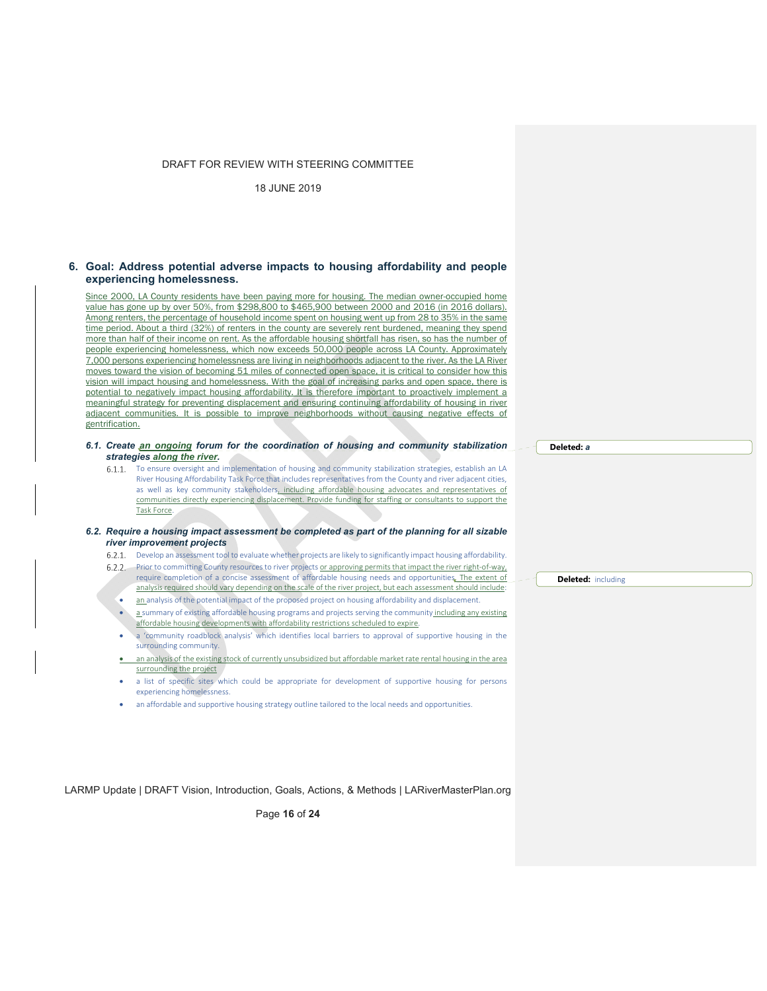18 JUNE 2019

## **6. Goal: Address potential adverse impacts to housing affordability and people experiencing homelessness.**

Since 2000, LA County residents have been paying more for housing. The median owner-occupied home value has gone up by over 50%, from \$298,800 to \$465,900 between 2000 and 2016 (in 2016 dollars). Among renters, the percentage of household income spent on housing went up from 28 to 35% in the same time period. About a third (32%) of renters in the county are severely rent burdened, meaning they spend more than half of their income on rent. As the affordable housing shortfall has risen, so has the number of people experiencing homelessness, which now exceeds 50,000 people across LA County. Approximately 7,000 persons experiencing homelessness are living in neighborhoods adjacent to the river. As the LA River moves toward the vision of becoming 51 miles of connected open space, it is critical to consider how this vision will impact housing and homelessness. With the goal of increasing parks and open space, there is potential to negatively impact housing affordability. It is therefore important to proactively implement a meaningful strategy for preventing displacement and ensuring continuing affordability of housing in river adjacent communities. It is possible to improve neighborhoods without causing negative effects of gentrification.

## *6.1. Create an ongoing forum for the coordination of housing and community stabilization strategies along the river.*

6.1.1. To ensure oversight and implementation of housing and community stabilization strategies, establish an LA River Housing Affordability Task Force that includes representatives from the County and river adjacent cities, as well as key community stakeholders, including affordable housing advocates and representatives of communities directly experiencing displacement. Provide funding for staffing or consultants to support the Task Force.

#### *6.2. Require a housing impact assessment be completed as part of the planning for all sizable river improvement projects*

- Develop an assessment tool to evaluate whether projects are likely to significantly impact housing affordability.
- 6.2.2. Prior to committing County resources to river projects or approving permits that impact the river right-of-way, require completion of a concise assessment of affordable housing needs and opportunities. The extent of analysis required should vary depending on the scale of the river project, but each assessment should include:
	- an analysis of the potential impact of the proposed project on housing affordability and displacement.
	- a summary of existing affordable housing programs and projects serving the community including any existing affordable housing developments with affordability restrictions scheduled to expire.
	- a 'community roadblock analysis' which identifies local barriers to approval of supportive housing in the surrounding community.
	- an analysis of the existing stock of currently unsubsidized but affordable market rate rental housing in the area surrounding the project
	- a list of specific sites which could be appropriate for development of supportive housing for persons experiencing homelessness.
	- an affordable and supportive housing strategy outline tailored to the local needs and opportunities.

**Deleted:** including

**Deleted:** *a*

LARMP Update | DRAFT Vision, Introduction, Goals, Actions, & Methods | LARiverMasterPlan.org

Page **16** of **24**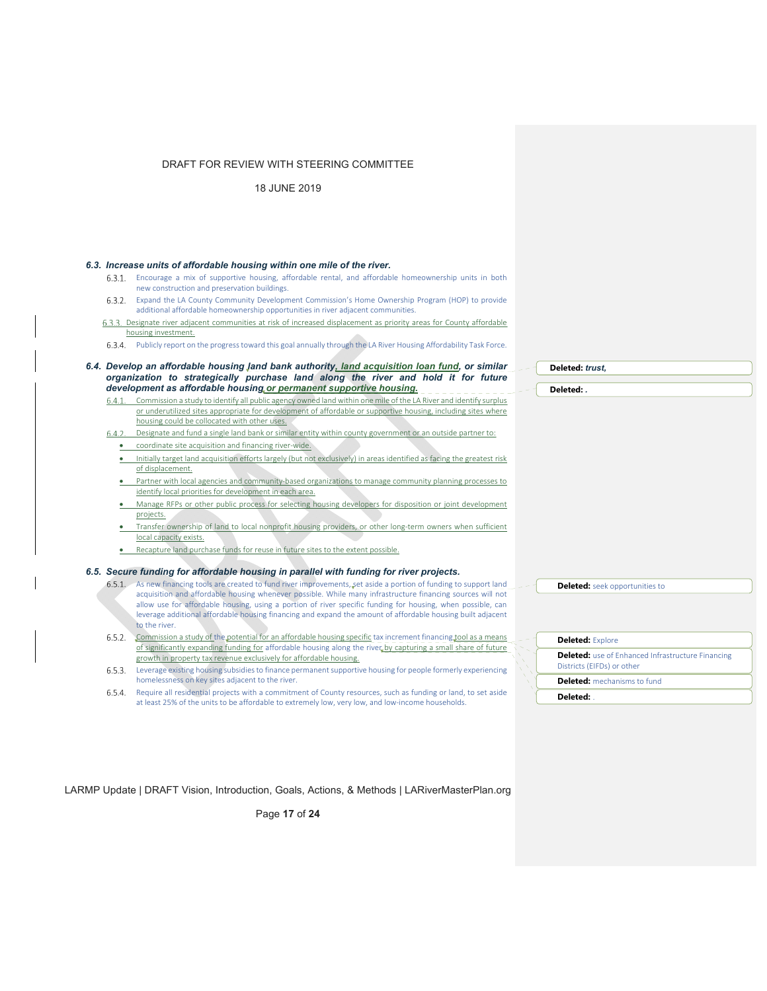18 JUNE 2019

#### *6.3. Increase units of affordable housing within one mile of the river.*

- Encourage a mix of supportive housing, affordable rental, and affordable homeownership units in both new construction and preservation buildings.
- Expand the LA County Community Development Commission's Home Ownership Program (HOP) to provide additional affordable homeownership opportunities in river adjacent communities.
- 6.3.3. Designate river adjacent communities at risk of increased displacement as priority areas for County affordable housing investment.
- Publicly report on the progresstoward this goal annually through the LA River Housing Affordability Task Force.
- *6.4. Develop an affordable housing land bank authority, land acquisition loan fund, or similar organization to strategically purchase land along the river and hold it for future development as affordable housing or permanent supportive housing.*
	- Commission a study to identify all public agency owned land within one mile of the LA River and identify surplus or underutilized sites appropriate for development of affordable or supportive housing, including sites where housing could be collocated with other uses.
	- Designate and fund a single land bank or similar entity within county government or an outside partner to:  $6.4.2.$ ● coordinate site acquisition and financing river-wide.
		- Initially target land acquisition efforts largely (but not exclusively) in areas identified as facing the greatest risk of displacement.
		- Partner with local agencies and community-based organizations to manage community planning processes to identify local priorities for development in each area.
		- Manage RFPs or other public process for selecting housing developers for disposition or joint development projects.
		- Transfer ownership of land to local nonprofit housing providers, or other long‐term owners when sufficient local capacity exists.
		- Recapture land purchase funds for reuse in future sites to the extent possible.

#### *6.5. Secure funding for affordable housing in parallel with funding for river projects.*

- 6.5.1. As new financing tools are created to fund river improvements, set aside a portion of funding to support land acquisition and affordable housing whenever possible. While many infrastructure financing sources will not allow use for affordable housing, using a portion of river specific funding for housing, when possible, can leverage additional affordable housing financing and expand the amount of affordable housing built adjacent to the river.
- 6.5.2. Commission a study of the potential for an affordable housing specific tax increment financing tool as a means of significantly expanding funding for affordable housing along the river by capturing a small share of future growth in property tax revenue exclusively for affordable housing.
- 6.5.3. Leverage existing housing subsidies to finance permanent supportive housing for people formerly experiencing homelessness on key sites adjacent to the river.
- 6.5.4. Require all residential projects with a commitment of County resources, such as funding or land, to set aside at least 25% of the units to be affordable to extremely low, very low, and low-income households.

**Deleted:** *trust,*  **Deleted:** *.*

**Deleted:** seek opportunities to

| <b>Deleted: Explore</b>                                                                |  |
|----------------------------------------------------------------------------------------|--|
| <b>Deleted:</b> use of Enhanced Infrastructure Financing<br>Districts (EIFDs) or other |  |
| <b>Deleted:</b> mechanisms to fund                                                     |  |
| Deleted:                                                                               |  |

LARMP Update | DRAFT Vision, Introduction, Goals, Actions, & Methods | LARiverMasterPlan.org

Page **17** of **24**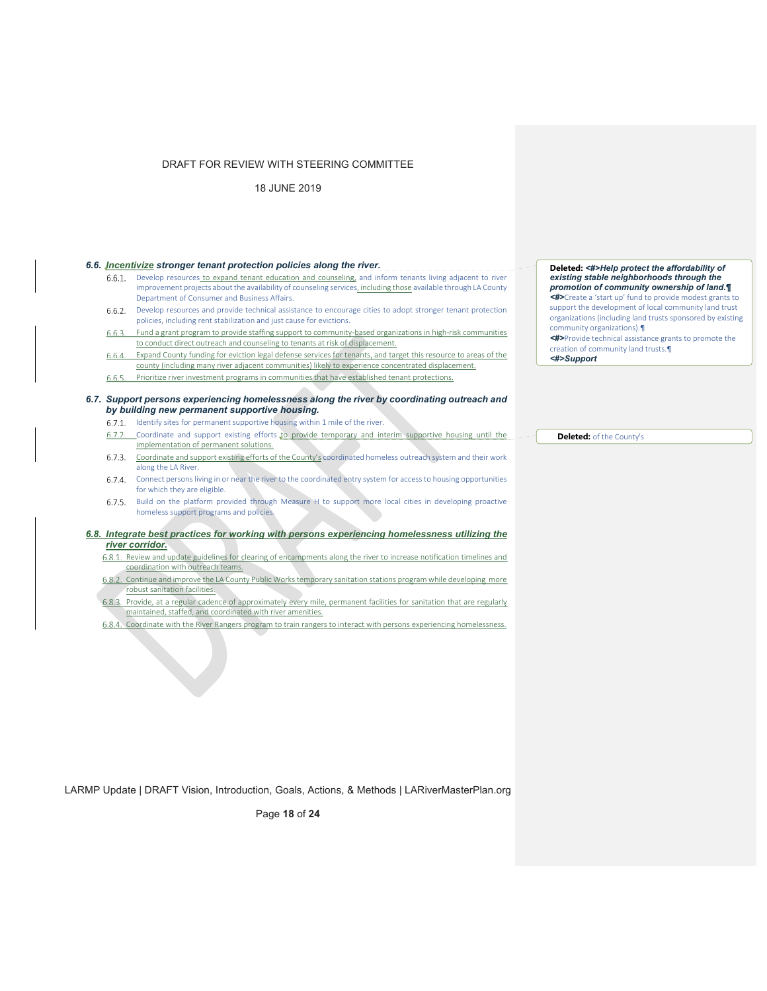18 JUNE 2019

# *6.6. Incentivize stronger tenant protection policies along the river.*

- Develop resources to expand tenant education and counseling, and inform tenants living adjacent to river improvement projects about the availability of counseling services, including those available through LA County Department of Consumer and Business Affairs.
- 6.6.2. Develop resources and provide technical assistance to encourage cities to adopt stronger tenant protection policies, including rent stabilization and just cause for evictions.
- Fund a grant program to provide staffing support to community‐based organizations in high‐risk communities to conduct direct outreach and counseling to tenants at risk of displacement.
- $6.6.4.$ Expand County funding for eviction legal defense services for tenants, and target this resource to areas of the county (including many river adjacent communities) likely to experience concentrated displacement.
- Prioritize river investment programs in communities that have established tenant protections. 6.6.5.

#### *6.7. Support persons experiencing homelessness along the river by coordinating outreach and by building new permanent supportive housing.*

- 6.7.1. Identify sites for permanent supportive housing within 1 mile of the river.
- 6.7.2. Coordinate and support existing efforts to provide temporary and interim supportive housing until the implementation of permanent solutions.
- 6.7.3. Coordinate and support existing efforts of the County's coordinated homeless outreach system and their work along the LA River.
- Connect persons living in or near the river to the coordinated entry system for access to housing opportunities for which they are eligible.
- 6.7.5. Build on the platform provided through Measure H to support more local cities in developing proactive homeless support programs and policies.

#### *6.8. Integrate best practices for working with persons experiencing homelessness utilizing the river corridor.*

- 6.8.1. Review and update guidelines for clearing of encampments along the river to increase notification timelines and coordination with outreach teams.
- 6.8.2. Continue and improve the LA County Public Works temporary sanitation stations program while developing more robust sanitation facilities.
- 6.8.3. Provide, at a regular cadence of approximately every mile, permanent facilities for sanitation that are regularly maintained, staffed, and coordinated with river amenities.
- 6.8.4. Coordinate with the River Rangers program to train rangers to interact with persons experiencing homelessness.

**Deleted:** *<#>Help protect the affordability of existing stable neighborhoods through the promotion of community ownership of land.¶ <#>*Create a 'start up' fund to provide modest grants to support the development of local community land trust organizations (including land trusts sponsored by existing community organizations).¶ *<#>*Provide technical assistance grants to promote the

creation of community land trusts.¶ *<#>Support*

**Deleted:** of the County's

LARMP Update | DRAFT Vision, Introduction, Goals, Actions, & Methods | LARiverMasterPlan.org

Page **18** of **24**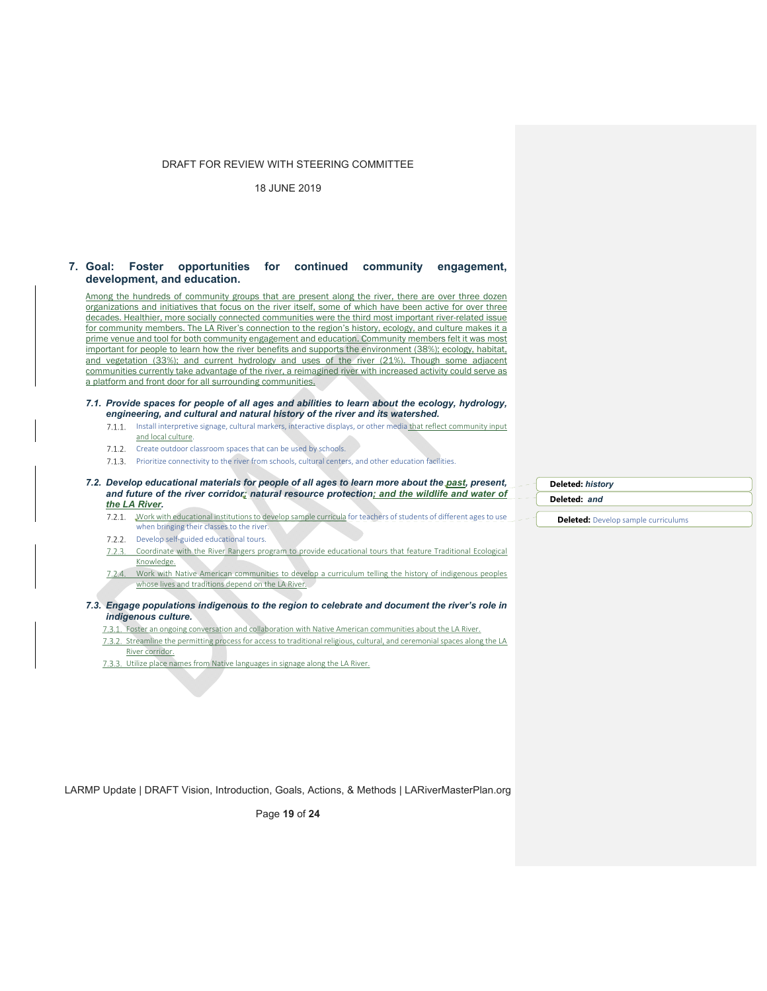18 JUNE 2019

## **7. Goal: Foster opportunities for continued community engagement, development, and education.**

Among the hundreds of community groups that are present along the river, there are over three dozen organizations and initiatives that focus on the river itself, some of which have been active for over three decades. Healthier, more socially connected communities were the third most important river-related issue for community members. The LA River's connection to the region's history, ecology, and culture makes it a prime venue and tool for both community engagement and education. Community members felt it was most important for people to learn how the river benefits and supports the environment (38%); ecology, habitat, and vegetation (33%); and current hydrology and uses of the river (21%). Though some adjacent communities currently take advantage of the river, a reimagined river with increased activity could serve as a platform and front door for all surrounding communities.

#### *7.1. Provide spaces for people of all ages and abilities to learn about the ecology, hydrology, engineering, and cultural and natural history of the river and its watershed.*

- 7.1.1. Install interpretive signage, cultural markers, interactive displays, or other media that reflect community input and local culture.
- 7.1.2. Create outdoor classroom spaces that can be used by schools.
- 7.1.3. Prioritize connectivity to the river from schools, cultural centers, and other education facilities.

*7.2. Develop educational materials for people of all ages to learn more about the past, present, and future of the river corridor; natural resource protection; and the wildlife and water of the LA River.* 

Work with educational institutions to develop sample curricula for teachers of students of different ages to use when bringing their classes to the river.

- 7.2.2. Develop self-guided educational tours.
- 7.2.3. Coordinate with the River Rangers program to provide educational tours that feature Traditional Ecological Knowledge.
- 7.2.4. Work with Native American communities to develop a curriculum telling the history of indigenous peoples whose lives and traditions depend on the LA River.
- *7.3. Engage populations indigenous to the region to celebrate and document the river's role in indigenous culture.*

Foster an ongoing conversation and collaboration with Native American communities about the LA River.

- 7.3.2. Streamline the permitting process for access to traditional religious, cultural, and ceremonial spaces along the LA River corridor.
- 7.3.3. Utilize place names from Native languages in signage along the LA River.

**Deleted:** *history*

**Deleted:** *and*

**Deleted:** Develop sample curriculums

LARMP Update | DRAFT Vision, Introduction, Goals, Actions, & Methods | LARiverMasterPlan.org

Page **19** of **24**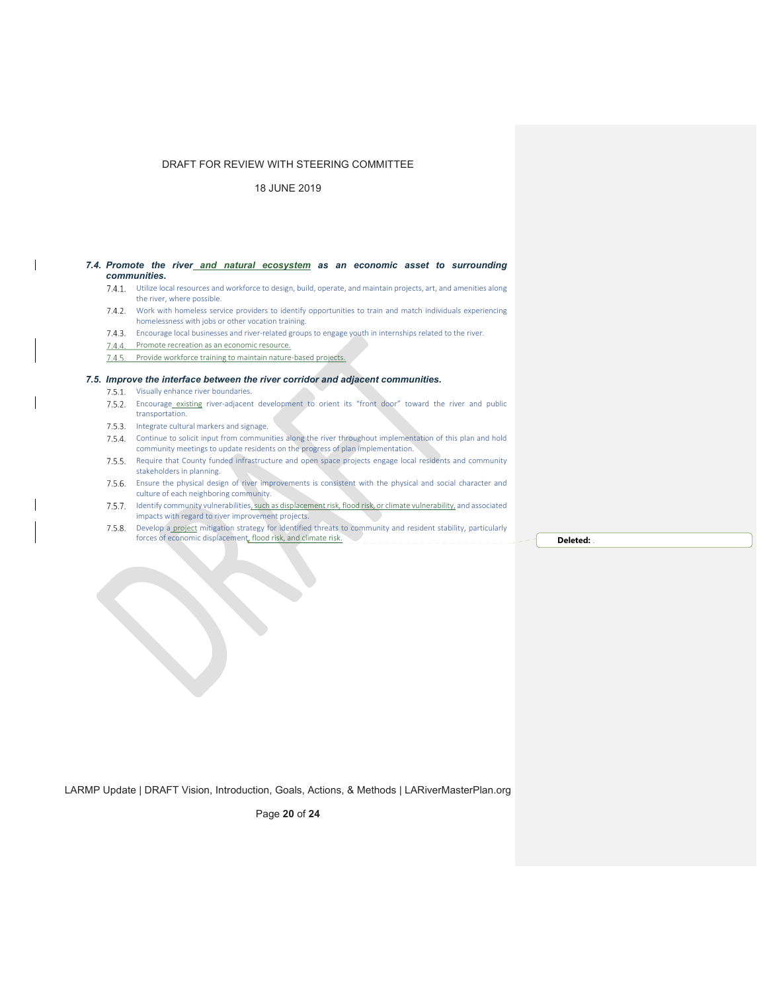18 JUNE 2019

#### 7.4. Promote the river and natural ecosystem as an economic asset to surrounding *communities.*

- Utilize local resources and workforce to design, build, operate, and maintain projects, art, and amenities along the river, where possible.
- 7.4.2. Work with homeless service providers to identify opportunities to train and match individuals experiencing homelessness with jobs or other vocation training.
- 7.4.3. Encourage local businesses and river-related groups to engage youth in internships related to the river.
- 7.4.4. Promote recreation as an economic resource.
- 7.4.5. Provide workforce training to maintain nature-based projects.

#### *7.5. Improve the interface between the river corridor and adjacent communities.*

- 7.5.1. Visually enhance river boundaries.
- 7.5.2. Encourage existing river-adjacent development to orient its "front door" toward the river and public transportation.
- 7.5.3. Integrate cultural markers and signage.
- 7.5.4. Continue to solicit input from communities along the river throughout implementation of this plan and hold community meetings to update residents on the progress of plan implementation.
- 7.5.5. Require that County funded infrastructure and open space projects engage local residents and community stakeholders in planning.
- Ensure the physical design of river improvements is consistent with the physical and social character and culture of each neighboring community.
- 7.5.7. Identify community vulnerabilities, such as displacement risk, flood risk, or climate vulnerability, and associated impacts with regard to river improvement projects.
- 7.5.8. Develop a project mitigation strategy for identified threats to community and resident stability, particularly forces of economic displacement<sub>e</sub> flood risk, and climate risk. **Depicted: Deleted: Deleted: Deleted: Deleted:**

LARMP Update | DRAFT Vision, Introduction, Goals, Actions, & Methods | LARiverMasterPlan.org

Page **20** of **24**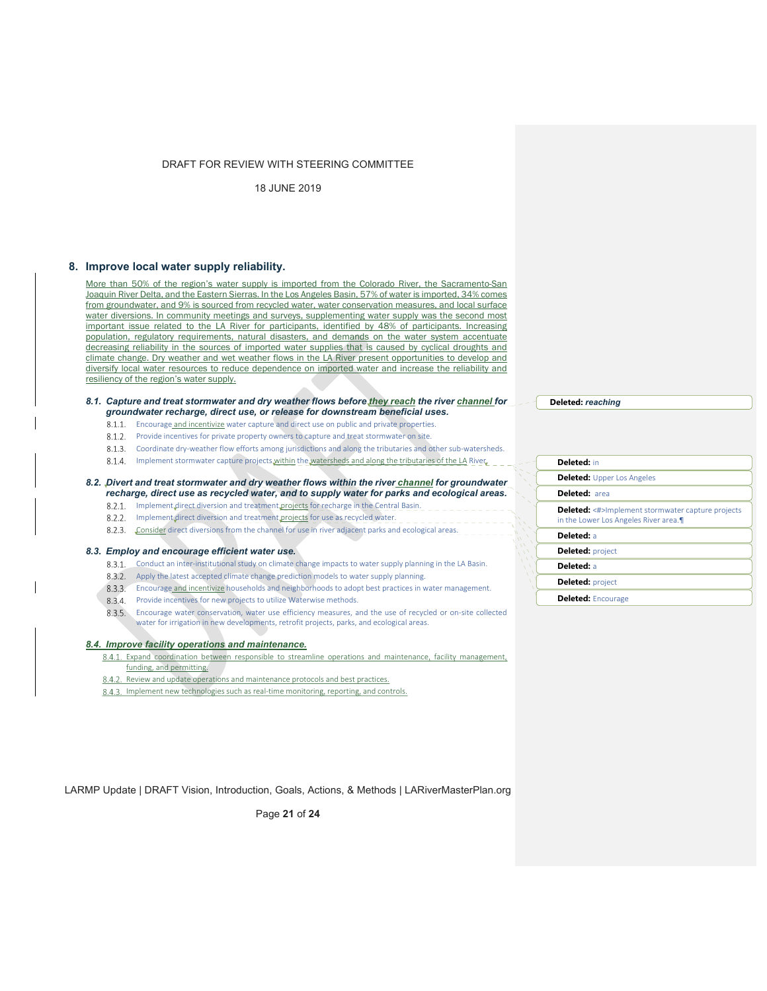18 JUNE 2019

## **8. Improve local water supply reliability.**

More than 50% of the region's water supply is imported from the Colorado River, the Sacramento-San Joaquin River Delta, and the Eastern Sierras. In the Los Angeles Basin, 57% of water is imported, 34% comes from groundwater, and 9% is sourced from recycled water, water conservation measures, and local surface water diversions. In community meetings and surveys, supplementing water supply was the second most important issue related to the LA River for participants, identified by 48% of participants. Increasing population, regulatory requirements, natural disasters, and demands on the water system accentuate decreasing reliability in the sources of imported water supplies that is caused by cyclical droughts and climate change. Dry weather and wet weather flows in the LA River present opportunities to develop and diversify local water resources to reduce dependence on imported water and increase the reliability and resiliency of the region's water supply.

## *8.1. Capture and treat stormwater and dry weather flows before they reach the river channel for groundwater recharge, direct use, or release for downstream beneficial uses.*

- 8.1.1. Encourage and incentivize water capture and direct use on public and private properties.
- 8.1.2. Provide incentives for private property owners to capture and treat stormwater on site.
- 8.1.3. Coordinate dry‐weather flow efforts among jurisdictions and along the tributaries and other sub‐watersheds.
- 8.1.4. Implement stormwater capture projects within the watersheds and along the tributaries of the LA River.

#### *8.2. Divert and treat stormwater and dry weather flows within the river channel for groundwater recharge, direct use as recycled water, and to supply water for parks and ecological areas.*

- 8.2.1. Implement direct diversion and treatment projects for recharge in the Central Basin.
- 8.2.2. Implement direct diversion and treatment projects for use as recycled water.
- 8.2.3. Consider direct diversions from the channel for use in river adjacent parks and ecological areas.

#### *8.3. Employ and encourage efficient water use.*

- 8.3.1. Conduct an inter-institutional study on climate change impacts to water supply planning in the LA Basin.
- 8.3.2. Apply the latest accepted climate change prediction models to water supply planning.
- Encourage and incentivize households and neighborhoods to adopt best practices in water management.
- 8.3.4. Provide incentives for new projects to utilize Waterwise methods.
- Encourage water conservation, water use efficiency measures, and the use of recycled or on‐site collected water for irrigation in new developments, retrofit projects, parks, and ecological areas.

#### *8.4. Improve facility operations and maintenance.*

- 8.4.1. Expand coordination between responsible to streamline operations and maintenance, facility management, funding, and permitting.
- 8.4.2. Review and update operations and maintenance protocols and best practices.
- 8.4.3. Implement new technologies such as real-time monitoring, reporting, and controls.

| Deleted: in                                                                                      |  |
|--------------------------------------------------------------------------------------------------|--|
| <b>Deleted:</b> Upper Los Angeles                                                                |  |
| <b>Deleted: area</b>                                                                             |  |
| <b>Deleted:</b> <#>Implement stormwater capture projects<br>in the Lower Los Angeles River area. |  |
| Deleted: a                                                                                       |  |
| <b>Deleted: project</b>                                                                          |  |
| Deleted: a                                                                                       |  |
| <b>Deleted: project</b>                                                                          |  |
| <b>Deleted: Encourage</b>                                                                        |  |

**Deleted:** *reaching*

LARMP Update | DRAFT Vision, Introduction, Goals, Actions, & Methods | LARiverMasterPlan.org

Page **21** of **24**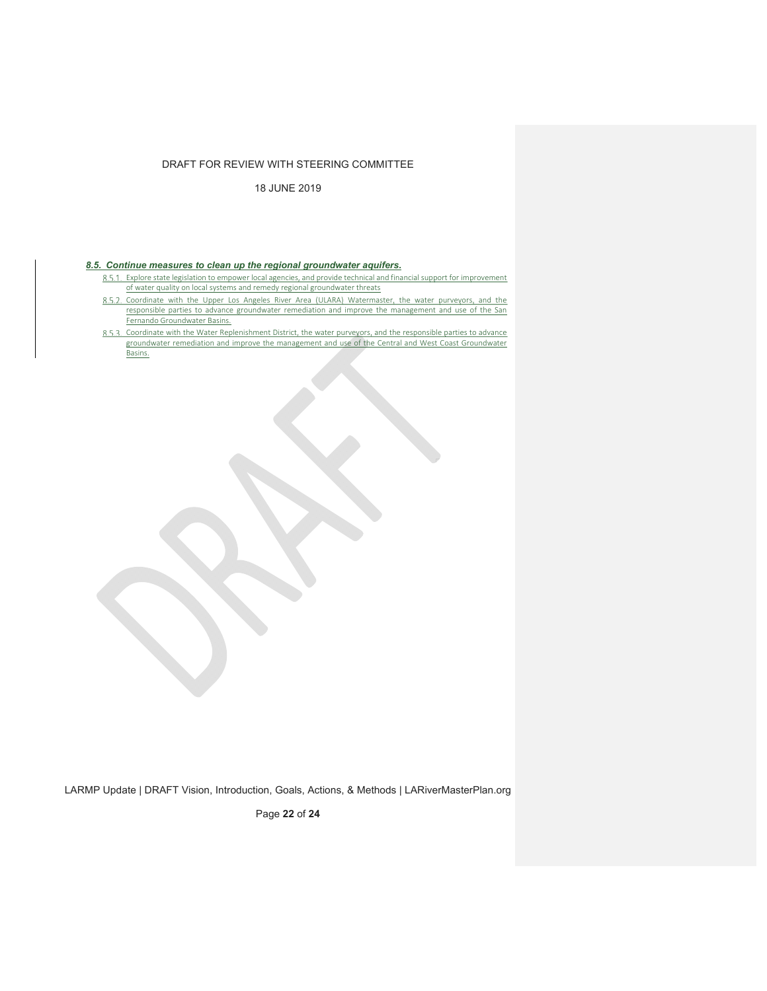18 JUNE 2019

## *8.5. Continue measures to clean up the regional groundwater aquifers.*

- Explore state legislation to empower local agencies, and provide technical and financial support for improvement of water quality on local systems and remedy regional groundwater threats
- 8.5.2. Coordinate with the Upper Los Angeles River Area (ULARA) Watermaster, the water purveyors, and the responsible parties to advance groundwater remediation and improve the management and use of the San Fernando Groundwater Basins.
- Coordinate with the Water Replenishment District, the water purveyors, and the responsible parties to advance groundwater remediation and improve the management and use of the Central and West Coast Groundwater Basins.

LARMP Update | DRAFT Vision, Introduction, Goals, Actions, & Methods | LARiverMasterPlan.org

Page **22** of **24**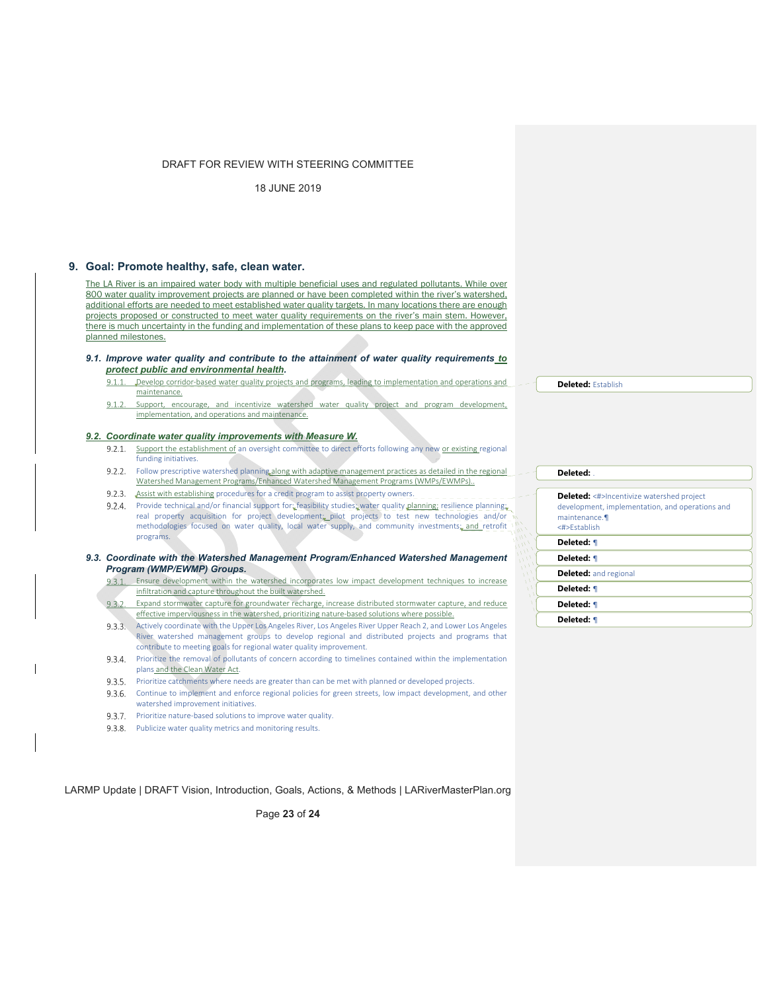18 JUNE 2019

## **9. Goal: Promote healthy, safe, clean water.**

The LA River is an impaired water body with multiple beneficial uses and regulated pollutants. While over 800 water quality improvement projects are planned or have been completed within the river's watershed, additional efforts are needed to meet established water quality targets. In many locations there are enough projects proposed or constructed to meet water quality requirements on the river's main stem. However, there is much uncertainty in the funding and implementation of these plans to keep pace with the approved planned milestones.

#### *9.1. Improve water quality and contribute to the attainment of water quality requirements to protect public and environmental health.*

- $9.1.1$ Develop corridor-based water quality projects and programs, leading to implementation and operations and maintenance.
- 912 Support, encourage, and incentivize watershed water quality project and program development, implementation, and operations and maintenance.

#### *9.2. Coordinate water quality improvements with Measure W.*

- 9.2.1. Support the establishment of an oversight committee to direct efforts following any new or existing regional funding initiatives.
- 9.2.2. Follow prescriptive watershed planning along with adaptive management practices as detailed in the regional Watershed Management Programs/Enhanced Watershed Management Programs (WMPs/EWMPs)..
- 9.2.3. Assist with establishing procedures for a credit program to assist property owners.
- 9.2.4. Provide technical and/or financial support for: feasibility studies; water quality planning; resilience planning; real property acquisition for project development; pilot projects to test new technologies and/or methodologies focused on water quality, local water supply, and community investments; and retrofit programs.

9.3. Coordinate with the Watershed Management Program/Enhanced Watershed Management *Program (WMP/EWMP) Groups.* 

- Ensure development within the watershed incorporates low impact development techniques to increase infiltration and capture throughout the built watershed.
- Expand stormwater capture for groundwater recharge, increase distributed stormwater capture, and reduce effective imperviousness in the watershed, prioritizing nature-based solutions where possible.
- Actively coordinate with the Upper Los Angeles River, Los Angeles River Upper Reach 2, and Lower Los Angeles River watershed management groups to develop regional and distributed projects and programs that contribute to meeting goals for regional water quality improvement.
- 9.3.4. Prioritize the removal of pollutants of concern according to timelines contained within the implementation plans and the Clean Water Act.
- Prioritize catchments where needs are greater than can be met with planned or developed projects.
- 9.3.6. Continue to implement and enforce regional policies for green streets, low impact development, and other watershed improvement initiatives.
- 9.3.7. Prioritize nature-based solutions to improve water quality.
- 9.3.8. Publicize water quality metrics and monitoring results.

LARMP Update | DRAFT Vision, Introduction, Goals, Actions, & Methods | LARiverMasterPlan.org

Page **23** of **24**

## **Deleted:** Establish

| Deleted:                                                                                                                            |
|-------------------------------------------------------------------------------------------------------------------------------------|
|                                                                                                                                     |
| <b>Deleted:</b> <#>Incentivize watershed project<br>development, implementation, and operations and<br>maintenance.<br><#>Fstablish |
| Deleted: ¶                                                                                                                          |
| Deleted: ¶                                                                                                                          |
| <b>Deleted:</b> and regional                                                                                                        |
| Deleted: ¶                                                                                                                          |
| Deleted: ¶                                                                                                                          |
|                                                                                                                                     |

**Deleted:** ¶